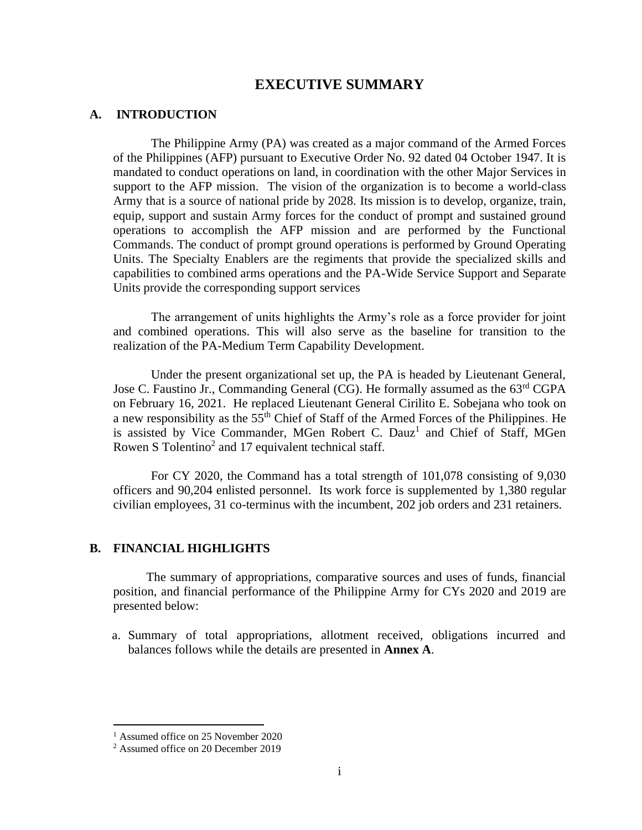# **EXECUTIVE SUMMARY**

### **A. INTRODUCTION**

The Philippine Army (PA) was created as a major command of the Armed Forces of the Philippines (AFP) pursuant to Executive Order No. 92 dated 04 October 1947. It is mandated to conduct operations on land, in coordination with the other Major Services in support to the AFP mission. The vision of the organization is to become a world-class Army that is a source of national pride by 2028. Its mission is to develop, organize, train, equip, support and sustain Army forces for the conduct of prompt and sustained ground operations to accomplish the AFP mission and are performed by the Functional Commands. The conduct of prompt ground operations is performed by Ground Operating Units. The Specialty Enablers are the regiments that provide the specialized skills and capabilities to combined arms operations and the PA-Wide Service Support and Separate Units provide the corresponding support services

The arrangement of units highlights the Army's role as a force provider for joint and combined operations. This will also serve as the baseline for transition to the realization of the PA-Medium Term Capability Development.

Under the present organizational set up, the PA is headed by Lieutenant General, Jose C. Faustino Jr., Commanding General (CG). He formally assumed as the 63<sup>rd</sup> CGPA on February 16, 2021. He replaced Lieutenant General Cirilito E. Sobejana who took on a new responsibility as the 55<sup>th</sup> Chief of Staff of the Armed Forces of the Philippines. He is assisted by Vice Commander, MGen Robert C. Dauz<sup>1</sup> and Chief of Staff, MGen Rowen S Tolentino<sup>2</sup> and 17 equivalent technical staff.

For CY 2020, the Command has a total strength of 101,078 consisting of 9,030 officers and 90,204 enlisted personnel. Its work force is supplemented by 1,380 regular civilian employees, 31 co-terminus with the incumbent, 202 job orders and 231 retainers.

#### **B. FINANCIAL HIGHLIGHTS**

The summary of appropriations, comparative sources and uses of funds, financial position, and financial performance of the Philippine Army for CYs 2020 and 2019 are presented below:

a. Summary of total appropriations, allotment received, obligations incurred and balances follows while the details are presented in **Annex A**.

<sup>&</sup>lt;sup>1</sup> Assumed office on 25 November 2020

<sup>2</sup> Assumed office on 20 December 2019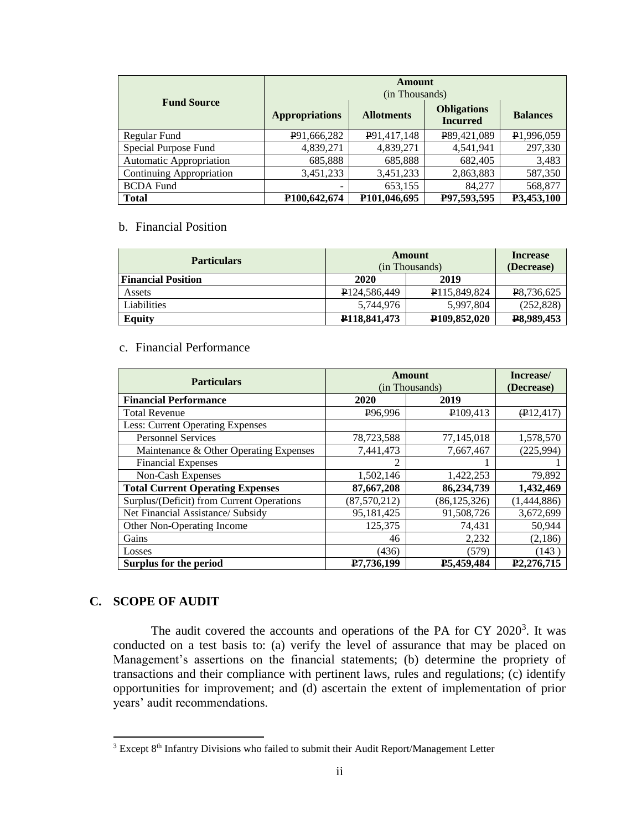| <b>Fund Source</b>       | Amount<br>(in Thousands)    |                           |                                       |                 |  |
|--------------------------|-----------------------------|---------------------------|---------------------------------------|-----------------|--|
|                          | <b>Appropriations</b>       | <b>Allotments</b>         | <b>Obligations</b><br><b>Incurred</b> | <b>Balances</b> |  |
| Regular Fund             | P91,666,282                 | P91,417,148               | P89,421,089                           | P1,996,059      |  |
| Special Purpose Fund     | 4,839,271                   | 4,839,271                 | 4,541,941                             | 297,330         |  |
| Automatic Appropriation  | 685,888                     | 685,888                   | 682,405                               | 3,483           |  |
| Continuing Appropriation | 3,451,233                   | 3,451,233                 | 2,863,883                             | 587,350         |  |
| <b>BCDA Fund</b>         |                             | 653,155                   | 84,277                                | 568,877         |  |
| <b>Total</b>             | P <sub>100</sub> , 642, 674 | P <sub>101</sub> ,046,695 | P97,593,595                           | P3,453,100      |  |

# b. Financial Position

| <b>Particulars</b>        | Amount<br>(in Thousands)    |                           | Increase<br>(Decrease) |
|---------------------------|-----------------------------|---------------------------|------------------------|
| <b>Financial Position</b> | 2020                        | 2019                      |                        |
| Assets                    | P <sub>124.586.449</sub>    | P115,849,824              | P8,736,625             |
| Liabilities               | 5.744.976                   | 5,997,804                 | (252, 828)             |
| Eauitv                    | P <sub>118</sub> , 841, 473 | P <sub>109</sub> ,852,020 | P8,989,453             |

### c. Financial Performance

| <b>Particulars</b>                        | Amount               |                | Increase/               |
|-------------------------------------------|----------------------|----------------|-------------------------|
|                                           | (in Thousands)       |                | (Decrease)              |
| <b>Financial Performance</b>              | 2020                 | 2019           |                         |
| <b>Total Revenue</b>                      | P <sub>96</sub> ,996 | P109,413       | $\bigoplus$ 12,417)     |
| Less: Current Operating Expenses          |                      |                |                         |
| <b>Personnel Services</b>                 | 78,723,588           | 77,145,018     | 1,578,570               |
| Maintenance & Other Operating Expenses    | 7,441,473            | 7,667,467      | (225, 994)              |
| <b>Financial Expenses</b>                 | 2                    |                |                         |
| Non-Cash Expenses                         | 1,502,146            | 1,422,253      | 79,892                  |
| <b>Total Current Operating Expenses</b>   | 87,667,208           | 86,234,739     | 1,432,469               |
| Surplus/(Deficit) from Current Operations | (87, 570, 212)       | (86, 125, 326) | (1,444,886)             |
| Net Financial Assistance/ Subsidy         | 95,181,425           | 91,508,726     | 3,672,699               |
| Other Non-Operating Income                | 125,375              | 74,431         | 50,944                  |
| Gains                                     | 46                   | 2,232          | (2,186)                 |
| Losses                                    | (436)                | (579)          | (143)                   |
| Surplus for the period                    | P7.736.199           | P5,459,484     | P <sub>2</sub> .276.715 |

## **C. SCOPE OF AUDIT**

The audit covered the accounts and operations of the PA for CY 2020<sup>3</sup>. It was conducted on a test basis to: (a) verify the level of assurance that may be placed on Management's assertions on the financial statements; (b) determine the propriety of transactions and their compliance with pertinent laws, rules and regulations; (c) identify opportunities for improvement; and (d) ascertain the extent of implementation of prior years' audit recommendations.

 $3$  Except  $8<sup>th</sup>$  Infantry Divisions who failed to submit their Audit Report/Management Letter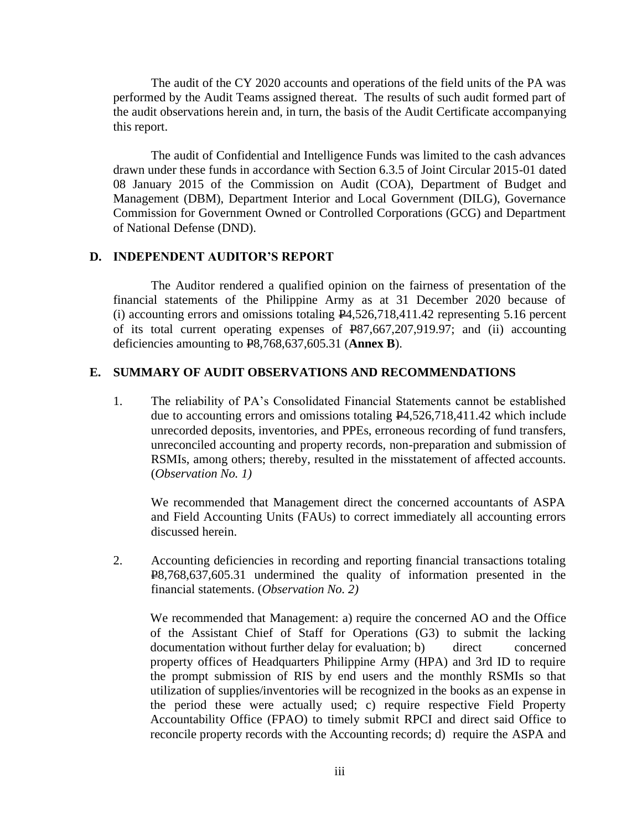The audit of the CY 2020 accounts and operations of the field units of the PA was performed by the Audit Teams assigned thereat. The results of such audit formed part of the audit observations herein and, in turn, the basis of the Audit Certificate accompanying this report.

The audit of Confidential and Intelligence Funds was limited to the cash advances drawn under these funds in accordance with Section 6.3.5 of Joint Circular 2015-01 dated 08 January 2015 of the Commission on Audit (COA), Department of Budget and Management (DBM), Department Interior and Local Government (DILG), Governance Commission for Government Owned or Controlled Corporations (GCG) and Department of National Defense (DND).

## **D. INDEPENDENT AUDITOR'S REPORT**

The Auditor rendered a qualified opinion on the fairness of presentation of the financial statements of the Philippine Army as at 31 December 2020 because of (i) accounting errors and omissions totaling P4,526,718,411.42 representing 5.16 percent of its total current operating expenses of P87,667,207,919.97; and (ii) accounting deficiencies amounting to P8,768,637,605.31 (**Annex B**).

## **E. SUMMARY OF AUDIT OBSERVATIONS AND RECOMMENDATIONS**

1. The reliability of PA's Consolidated Financial Statements cannot be established due to accounting errors and omissions totaling P4,526,718,411.42 which include unrecorded deposits, inventories, and PPEs, erroneous recording of fund transfers, unreconciled accounting and property records, non-preparation and submission of RSMIs, among others; thereby, resulted in the misstatement of affected accounts. (*Observation No. 1)* 

We recommended that Management direct the concerned accountants of ASPA and Field Accounting Units (FAUs) to correct immediately all accounting errors discussed herein.

2. Accounting deficiencies in recording and reporting financial transactions totaling P8,768,637,605.31 undermined the quality of information presented in the financial statements. (*Observation No. 2)*

We recommended that Management: a) require the concerned AO and the Office of the Assistant Chief of Staff for Operations (G3) to submit the lacking documentation without further delay for evaluation; b) direct concerned property offices of Headquarters Philippine Army (HPA) and 3rd ID to require the prompt submission of RIS by end users and the monthly RSMIs so that utilization of supplies/inventories will be recognized in the books as an expense in the period these were actually used; c) require respective Field Property Accountability Office (FPAO) to timely submit RPCI and direct said Office to reconcile property records with the Accounting records; d) require the ASPA and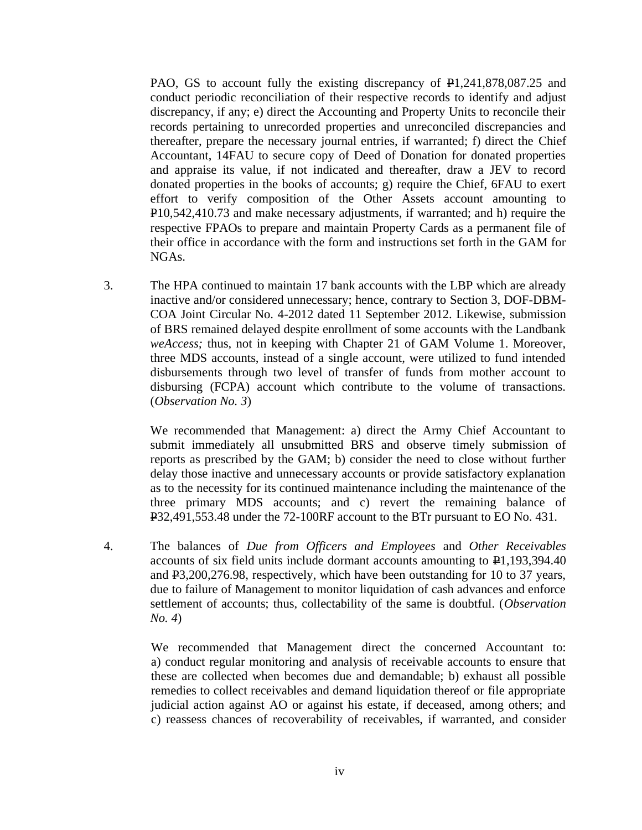PAO, GS to account fully the existing discrepancy of  $\text{\textsterling}1,241,878,087.25$  and conduct periodic reconciliation of their respective records to identify and adjust discrepancy, if any; e) direct the Accounting and Property Units to reconcile their records pertaining to unrecorded properties and unreconciled discrepancies and thereafter, prepare the necessary journal entries, if warranted; f) direct the Chief Accountant, 14FAU to secure copy of Deed of Donation for donated properties and appraise its value, if not indicated and thereafter, draw a JEV to record donated properties in the books of accounts; g) require the Chief, 6FAU to exert effort to verify composition of the Other Assets account amounting to P10,542,410.73 and make necessary adjustments, if warranted; and h) require the respective FPAOs to prepare and maintain Property Cards as a permanent file of their office in accordance with the form and instructions set forth in the GAM for NGAs.

3. The HPA continued to maintain 17 bank accounts with the LBP which are already inactive and/or considered unnecessary; hence, contrary to Section 3, DOF-DBM-COA Joint Circular No. 4-2012 dated 11 September 2012. Likewise, submission of BRS remained delayed despite enrollment of some accounts with the Landbank *weAccess;* thus, not in keeping with Chapter 21 of GAM Volume 1. Moreover, three MDS accounts, instead of a single account, were utilized to fund intended disbursements through two level of transfer of funds from mother account to disbursing (FCPA) account which contribute to the volume of transactions. (*Observation No. 3*)

> We recommended that Management: a) direct the Army Chief Accountant to submit immediately all unsubmitted BRS and observe timely submission of reports as prescribed by the GAM; b) consider the need to close without further delay those inactive and unnecessary accounts or provide satisfactory explanation as to the necessity for its continued maintenance including the maintenance of the three primary MDS accounts; and c) revert the remaining balance of P32,491,553.48 under the 72-100RF account to the BTr pursuant to EO No. 431.

4. The balances of *Due from Officers and Employees* and *Other Receivables* accounts of six field units include dormant accounts amounting to P1,193,394.40 and P3,200,276.98, respectively, which have been outstanding for 10 to 37 years, due to failure of Management to monitor liquidation of cash advances and enforce settlement of accounts; thus, collectability of the same is doubtful. (*Observation No. 4*)

> We recommended that Management direct the concerned Accountant to: a) conduct regular monitoring and analysis of receivable accounts to ensure that these are collected when becomes due and demandable; b) exhaust all possible remedies to collect receivables and demand liquidation thereof or file appropriate judicial action against AO or against his estate, if deceased, among others; and c) reassess chances of recoverability of receivables, if warranted, and consider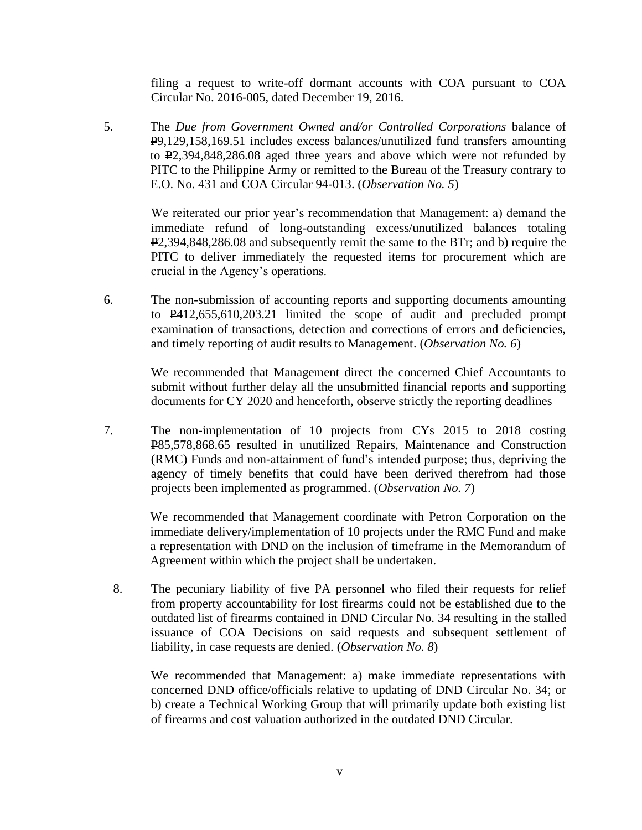filing a request to write-off dormant accounts with COA pursuant to COA Circular No. 2016-005, dated December 19, 2016.

5. The *Due from Government Owned and/or Controlled Corporations* balance of P9,129,158,169.51 includes excess balances/unutilized fund transfers amounting to P2,394,848,286.08 aged three years and above which were not refunded by PITC to the Philippine Army or remitted to the Bureau of the Treasury contrary to E.O. No. 431 and COA Circular 94-013. (*Observation No. 5*)

> We reiterated our prior year's recommendation that Management: a) demand the immediate refund of long-outstanding excess/unutilized balances totaling P2,394,848,286.08 and subsequently remit the same to the BTr; and b) require the PITC to deliver immediately the requested items for procurement which are crucial in the Agency's operations.

6. The non-submission of accounting reports and supporting documents amounting to P412,655,610,203.21 limited the scope of audit and precluded prompt examination of transactions, detection and corrections of errors and deficiencies, and timely reporting of audit results to Management. (*Observation No. 6*)

> We recommended that Management direct the concerned Chief Accountants to submit without further delay all the unsubmitted financial reports and supporting documents for CY 2020 and henceforth, observe strictly the reporting deadlines

7. The non-implementation of 10 projects from CYs 2015 to 2018 costing P85,578,868.65 resulted in unutilized Repairs, Maintenance and Construction (RMC) Funds and non-attainment of fund's intended purpose; thus, depriving the agency of timely benefits that could have been derived therefrom had those projects been implemented as programmed. (*Observation No. 7*)

> We recommended that Management coordinate with Petron Corporation on the immediate delivery/implementation of 10 projects under the RMC Fund and make a representation with DND on the inclusion of timeframe in the Memorandum of Agreement within which the project shall be undertaken.

8. The pecuniary liability of five PA personnel who filed their requests for relief from property accountability for lost firearms could not be established due to the outdated list of firearms contained in DND Circular No. 34 resulting in the stalled issuance of COA Decisions on said requests and subsequent settlement of liability, in case requests are denied. (*Observation No. 8*)

We recommended that Management: a) make immediate representations with concerned DND office/officials relative to updating of DND Circular No. 34; or b) create a Technical Working Group that will primarily update both existing list of firearms and cost valuation authorized in the outdated DND Circular.